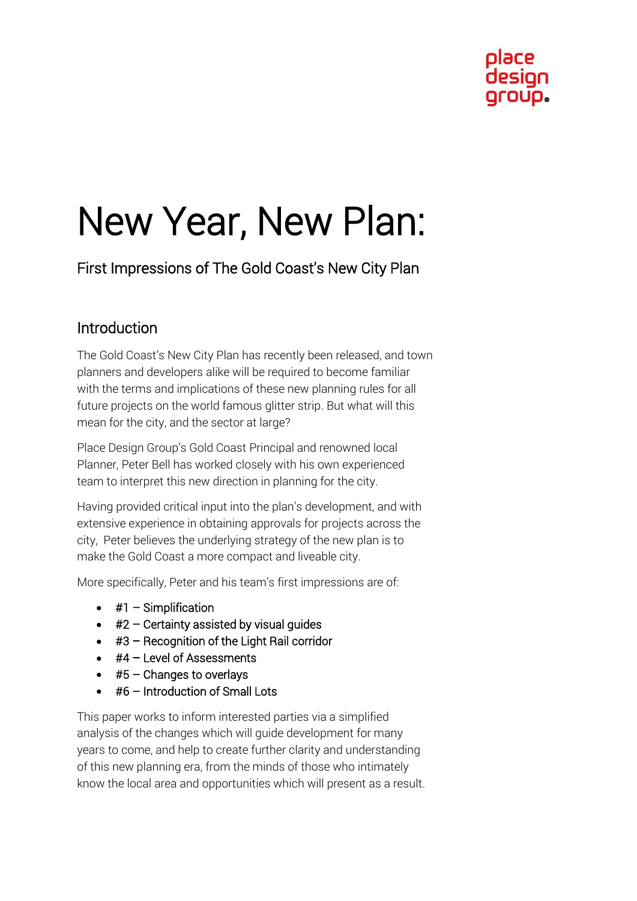# New Year, New Plan:

First Impressions of The Gold Coast's New City Plan

# Introduction

The Gold Coast's New City Plan has recently been released, and town planners and developers alike will be required to become familiar with the terms and implications of these new planning rules for all future projects on the world famous glitter strip. But what will this mean for the city, and the sector at large?

Place Design Group's Gold Coast Principal and renowned local Planner, Peter Bell has worked closely with his own experienced team to interpret this new direction in planning for the city.

Having provided critical input into the plan's development, and with extensive experience in obtaining approvals for projects across the city, Peter believes the underlying strategy of the new plan is to make the Gold Coast a more compact and liveable city.

More specifically, Peter and his team's first impressions are of:

- $\bullet$  #1 Simplification
- $\bullet$  #2 Certainty assisted by visual quides
- #3 Recognition of the Light Rail corridor
- $\bullet$  #4 Level of Assessments
- $\bullet$  #5 Changes to overlays
- $\bullet$  #6 Introduction of Small Lots

This paper works to inform interested parties via a simplified analysis of the changes which will guide development for many years to come, and help to create further clarity and understanding of this new planning era, from the minds of those who intimately know the local area and opportunities which will present as a result.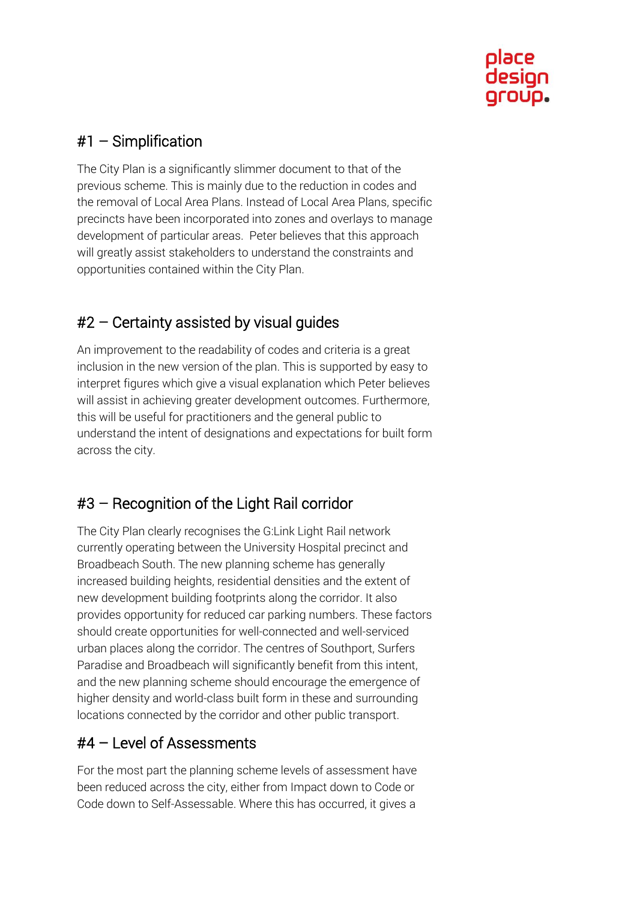

#### #1 – Simplification

The City Plan is a significantly slimmer document to that of the previous scheme. This is mainly due to the reduction in codes and the removal of Local Area Plans. Instead of Local Area Plans, specific precincts have been incorporated into zones and overlays to manage development of particular areas. Peter believes that this approach will greatly assist stakeholders to understand the constraints and opportunities contained within the City Plan.

# #2 – Certainty assisted by visual guides

An improvement to the readability of codes and criteria is a great inclusion in the new version of the plan. This is supported by easy to interpret figures which give a visual explanation which Peter believes will assist in achieving greater development outcomes. Furthermore, this will be useful for practitioners and the general public to understand the intent of designations and expectations for built form across the city.

# #3 – Recognition of the Light Rail corridor

The City Plan clearly recognises the G:Link Light Rail network currently operating between the University Hospital precinct and Broadbeach South. The new planning scheme has generally increased building heights, residential densities and the extent of new development building footprints along the corridor. It also provides opportunity for reduced car parking numbers. These factors should create opportunities for well-connected and well-serviced urban places along the corridor. The centres of Southport, Surfers Paradise and Broadbeach will significantly benefit from this intent, and the new planning scheme should encourage the emergence of higher density and world-class built form in these and surrounding locations connected by the corridor and other public transport.

#### #4 – Level of Assessments

For the most part the planning scheme levels of assessment have been reduced across the city, either from Impact down to Code or Code down to Self-Assessable. Where this has occurred, it gives a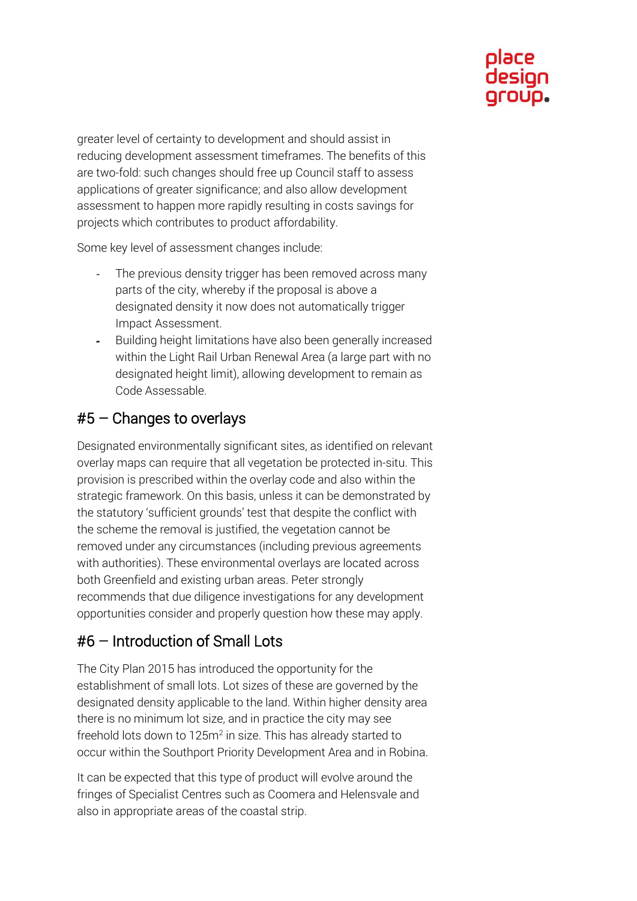

greater level of certainty to development and should assist in reducing development assessment timeframes. The benefits of this are two-fold: such changes should free up Council staff to assess applications of greater significance; and also allow development assessment to happen more rapidly resulting in costs savings for projects which contributes to product affordability.

Some key level of assessment changes include:

- The previous density trigger has been removed across many parts of the city, whereby if the proposal is above a designated density it now does not automatically trigger Impact Assessment.
- Building height limitations have also been generally increased within the Light Rail Urban Renewal Area (a large part with no designated height limit), allowing development to remain as Code Assessable.

#### #5 – Changes to overlays

Designated environmentally significant sites, as identified on relevant overlay maps can require that all vegetation be protected in-situ. This provision is prescribed within the overlay code and also within the strategic framework. On this basis, unless it can be demonstrated by the statutory 'sufficient grounds' test that despite the conflict with the scheme the removal is justified, the vegetation cannot be removed under any circumstances (including previous agreements with authorities). These environmental overlays are located across both Greenfield and existing urban areas. Peter strongly recommends that due diligence investigations for any development opportunities consider and properly question how these may apply.

#### #6 – Introduction of Small Lots

The City Plan 2015 has introduced the opportunity for the establishment of small lots. Lot sizes of these are governed by the designated density applicable to the land. Within higher density area there is no minimum lot size, and in practice the city may see freehold lots down to 125m<sup>2</sup> in size. This has already started to occur within the Southport Priority Development Area and in Robina.

It can be expected that this type of product will evolve around the fringes of Specialist Centres such as Coomera and Helensvale and also in appropriate areas of the coastal strip.